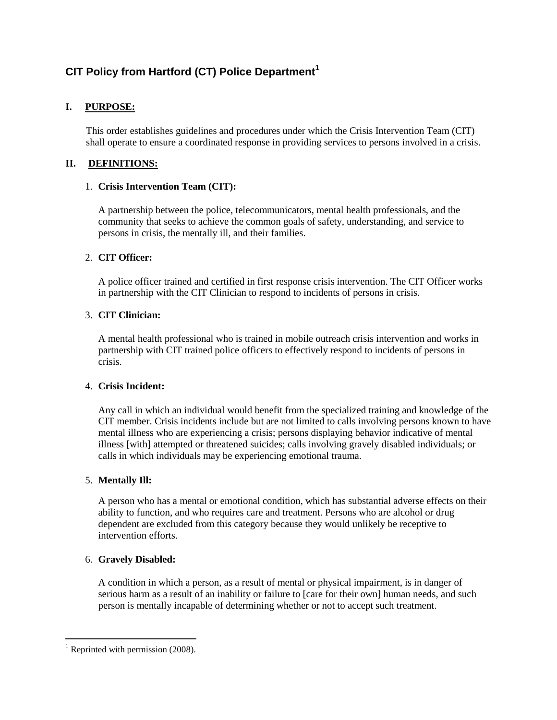# **CIT Policy from Hartford (CT) Police Department<sup>1</sup>**

# **I. PURPOSE:**

This order establishes guidelines and procedures under which the Crisis Intervention Team (CIT) shall operate to ensure a coordinated response in providing services to persons involved in a crisis.

# **II. DEFINITIONS:**

### 1. **Crisis Intervention Team (CIT):**

A partnership between the police, telecommunicators, mental health professionals, and the community that seeks to achieve the common goals of safety, understanding, and service to persons in crisis, the mentally ill, and their families.

### 2. **CIT Officer:**

A police officer trained and certified in first response crisis intervention. The CIT Officer works in partnership with the CIT Clinician to respond to incidents of persons in crisis.

### 3. **CIT Clinician:**

A mental health professional who is trained in mobile outreach crisis intervention and works in partnership with CIT trained police officers to effectively respond to incidents of persons in crisis.

#### 4. **Crisis Incident:**

Any call in which an individual would benefit from the specialized training and knowledge of the CIT member. Crisis incidents include but are not limited to calls involving persons known to have mental illness who are experiencing a crisis; persons displaying behavior indicative of mental illness [with] attempted or threatened suicides; calls involving gravely disabled individuals; or calls in which individuals may be experiencing emotional trauma.

# 5. **Mentally Ill:**

A person who has a mental or emotional condition, which has substantial adverse effects on their ability to function, and who requires care and treatment. Persons who are alcohol or drug dependent are excluded from this category because they would unlikely be receptive to intervention efforts.

# 6. **Gravely Disabled:**

A condition in which a person, as a result of mental or physical impairment, is in danger of serious harm as a result of an inability or failure to [care for their own] human needs, and such person is mentally incapable of determining whether or not to accept such treatment.

 $\overline{a}$ 

 $1$  Reprinted with permission (2008).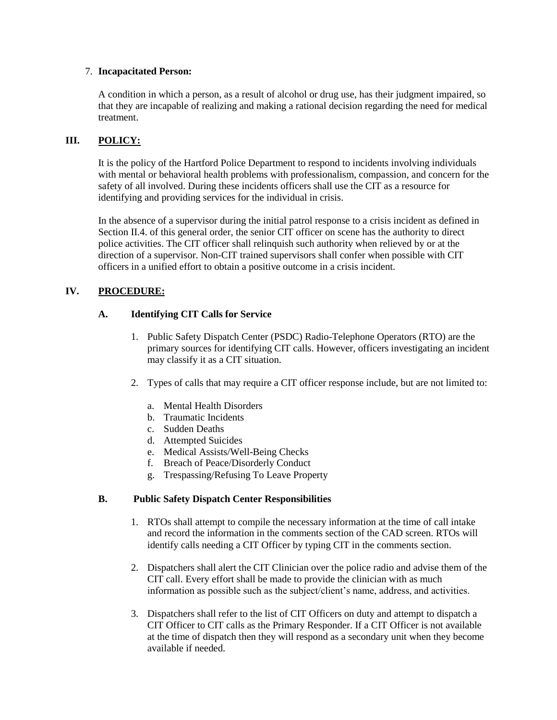#### 7. **Incapacitated Person:**

A condition in which a person, as a result of alcohol or drug use, has their judgment impaired, so that they are incapable of realizing and making a rational decision regarding the need for medical treatment.

# **III. POLICY:**

It is the policy of the Hartford Police Department to respond to incidents involving individuals with mental or behavioral health problems with professionalism, compassion, and concern for the safety of all involved. During these incidents officers shall use the CIT as a resource for identifying and providing services for the individual in crisis.

In the absence of a supervisor during the initial patrol response to a crisis incident as defined in Section II.4. of this general order, the senior CIT officer on scene has the authority to direct police activities. The CIT officer shall relinquish such authority when relieved by or at the direction of a supervisor. Non-CIT trained supervisors shall confer when possible with CIT officers in a unified effort to obtain a positive outcome in a crisis incident.

# **IV. PROCEDURE:**

### **A. Identifying CIT Calls for Service**

- 1. Public Safety Dispatch Center (PSDC) Radio-Telephone Operators (RTO) are the primary sources for identifying CIT calls. However, officers investigating an incident may classify it as a CIT situation.
- 2. Types of calls that may require a CIT officer response include, but are not limited to:
	- a. Mental Health Disorders
	- b. Traumatic Incidents
	- c. Sudden Deaths
	- d. Attempted Suicides
	- e. Medical Assists/Well-Being Checks
	- f. Breach of Peace/Disorderly Conduct
	- g. Trespassing/Refusing To Leave Property

#### **B. Public Safety Dispatch Center Responsibilities**

- 1. RTOs shall attempt to compile the necessary information at the time of call intake and record the information in the comments section of the CAD screen. RTOs will identify calls needing a CIT Officer by typing CIT in the comments section.
- 2. Dispatchers shall alert the CIT Clinician over the police radio and advise them of the CIT call. Every effort shall be made to provide the clinician with as much information as possible such as the subject/client's name, address, and activities.
- 3. Dispatchers shall refer to the list of CIT Officers on duty and attempt to dispatch a CIT Officer to CIT calls as the Primary Responder. If a CIT Officer is not available at the time of dispatch then they will respond as a secondary unit when they become available if needed.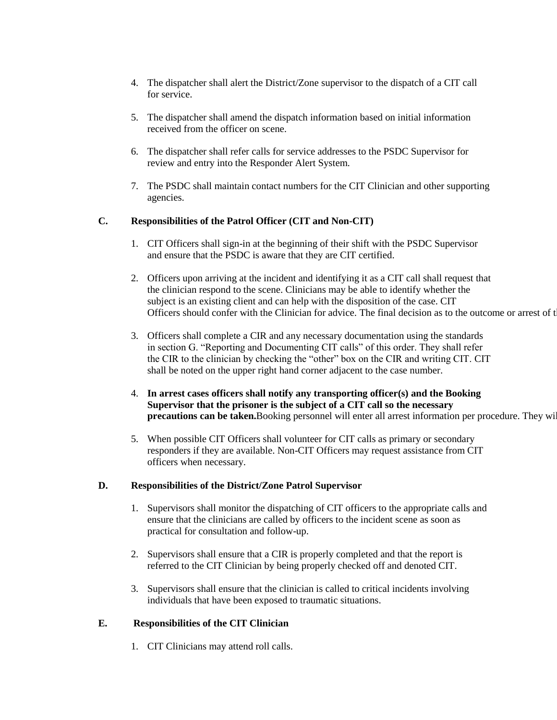- 4. The dispatcher shall alert the District/Zone supervisor to the dispatch of a CIT call for service.
- 5. The dispatcher shall amend the dispatch information based on initial information received from the officer on scene.
- 6. The dispatcher shall refer calls for service addresses to the PSDC Supervisor for review and entry into the Responder Alert System.
- 7. The PSDC shall maintain contact numbers for the CIT Clinician and other supporting agencies.

### **C. Responsibilities of the Patrol Officer (CIT and Non-CIT)**

- 1. CIT Officers shall sign-in at the beginning of their shift with the PSDC Supervisor and ensure that the PSDC is aware that they are CIT certified.
- 2. Officers upon arriving at the incident and identifying it as a CIT call shall request that the clinician respond to the scene. Clinicians may be able to identify whether the subject is an existing client and can help with the disposition of the case. CIT Officers should confer with the Clinician for advice. The final decision as to the outcome or arrest of t
- 3. Officers shall complete a CIR and any necessary documentation using the standards in section G. "Reporting and Documenting CIT calls" of this order. They shall refer the CIR to the clinician by checking the "other" box on the CIR and writing CIT. CIT shall be noted on the upper right hand corner adjacent to the case number.
- 4. **In arrest cases officers shall notify any transporting officer(s) and the Booking Supervisor that the prisoner is the subject of a CIT call so the necessary**  precautions can be taken. Booking personnel will enter all arrest information per procedure. They will
- 5. When possible CIT Officers shall volunteer for CIT calls as primary or secondary responders if they are available. Non-CIT Officers may request assistance from CIT officers when necessary.

#### **D. Responsibilities of the District/Zone Patrol Supervisor**

- 1. Supervisors shall monitor the dispatching of CIT officers to the appropriate calls and ensure that the clinicians are called by officers to the incident scene as soon as practical for consultation and follow-up.
- 2. Supervisors shall ensure that a CIR is properly completed and that the report is referred to the CIT Clinician by being properly checked off and denoted CIT.
- 3. Supervisors shall ensure that the clinician is called to critical incidents involving individuals that have been exposed to traumatic situations.

# **E. Responsibilities of the CIT Clinician**

1. CIT Clinicians may attend roll calls.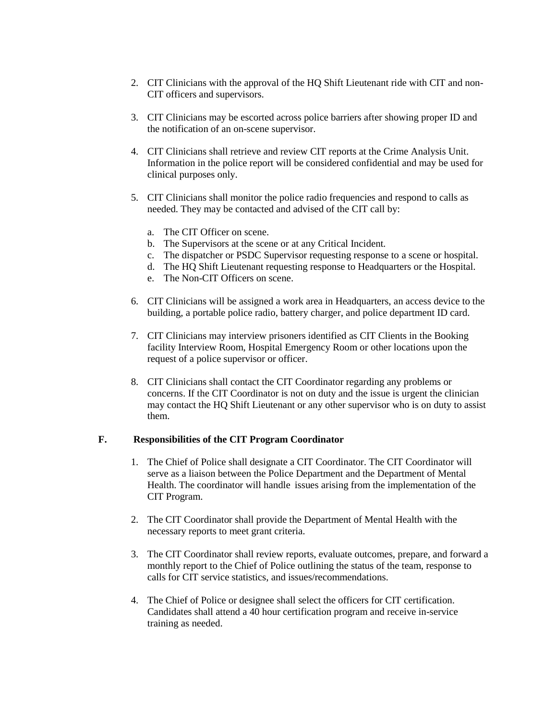- 2. CIT Clinicians with the approval of the HQ Shift Lieutenant ride with CIT and non-CIT officers and supervisors.
- 3. CIT Clinicians may be escorted across police barriers after showing proper ID and the notification of an on-scene supervisor.
- 4. CIT Clinicians shall retrieve and review CIT reports at the Crime Analysis Unit. Information in the police report will be considered confidential and may be used for clinical purposes only.
- 5. CIT Clinicians shall monitor the police radio frequencies and respond to calls as needed. They may be contacted and advised of the CIT call by:
	- a. The CIT Officer on scene.
	- b. The Supervisors at the scene or at any Critical Incident.
	- c. The dispatcher or PSDC Supervisor requesting response to a scene or hospital.
	- d. The HQ Shift Lieutenant requesting response to Headquarters or the Hospital.
	- e. The Non-CIT Officers on scene.
- 6. CIT Clinicians will be assigned a work area in Headquarters, an access device to the building, a portable police radio, battery charger, and police department ID card.
- 7. CIT Clinicians may interview prisoners identified as CIT Clients in the Booking facility Interview Room, Hospital Emergency Room or other locations upon the request of a police supervisor or officer.
- 8. CIT Clinicians shall contact the CIT Coordinator regarding any problems or concerns. If the CIT Coordinator is not on duty and the issue is urgent the clinician may contact the HQ Shift Lieutenant or any other supervisor who is on duty to assist them.

#### **F. Responsibilities of the CIT Program Coordinator**

- 1. The Chief of Police shall designate a CIT Coordinator. The CIT Coordinator will serve as a liaison between the Police Department and the Department of Mental Health. The coordinator will handle issues arising from the implementation of the CIT Program.
- 2. The CIT Coordinator shall provide the Department of Mental Health with the necessary reports to meet grant criteria.
- 3. The CIT Coordinator shall review reports, evaluate outcomes, prepare, and forward a monthly report to the Chief of Police outlining the status of the team, response to calls for CIT service statistics, and issues/recommendations.
- 4. The Chief of Police or designee shall select the officers for CIT certification. Candidates shall attend a 40 hour certification program and receive in-service training as needed.